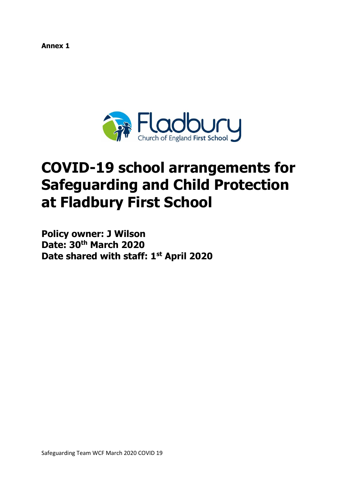**Annex 1**



# **COVID-19 school arrangements for Safeguarding and Child Protection at Fladbury First School**

**Policy owner: J Wilson Date: 30th March 2020 Date shared with staff: 1st April 2020**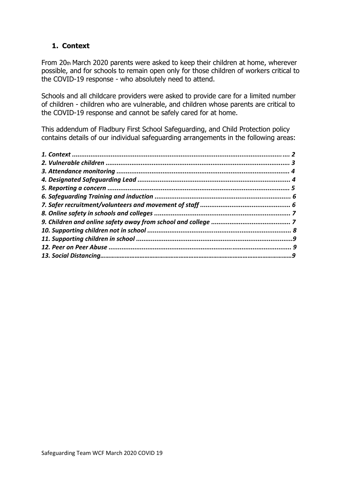# **1. Context**

From 20th March 2020 parents were asked to keep their children at home, wherever possible, and for schools to remain open only for those children of workers critical to the COVID-19 response - who absolutely need to attend.

Schools and all childcare providers were asked to provide care for a limited number of children - children who are vulnerable, and children whose parents are critical to the COVID-19 response and cannot be safely cared for at home.

This addendum of Fladbury First School Safeguarding, and Child Protection policy contains details of our individual safeguarding arrangements in the following areas: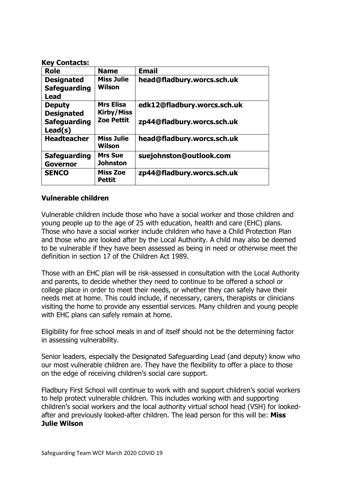#### **Key Contacts:**

| <b>Role</b>                                             | <b>Name</b>                           | <b>Email</b>                |
|---------------------------------------------------------|---------------------------------------|-----------------------------|
| <b>Designated</b><br><b>Safeguarding</b><br><b>Lead</b> | <b>Miss Julie</b><br>Wilson           | head@fladbury.worcs.sch.uk  |
| <b>Deputy</b><br><b>Designated</b>                      | <b>Mrs Elisa</b><br><b>Kirby/Miss</b> | edk12@fladbury.worcs.sch.uk |
| <b>Safeguarding</b><br>Lead(s)                          | <b>Zoe Pettit</b>                     | zp44@fladbury.worcs.sch.uk  |
| <b>Headteacher</b>                                      | <b>Miss Julie</b><br>Wilson           | head@fladbury.worcs.sch.uk  |
| <b>Safeguarding</b><br><b>Governor</b>                  | <b>Mrs Sue</b><br><b>Johnston</b>     | suejohnston@outlook.com     |
| <b>SENCO</b>                                            | <b>Miss Zoe</b><br><b>Pettit</b>      | zp44@fladbury.worcs.sch.uk  |

## **Vulnerable children**

Vulnerable children include those who have a social worker and those children and young people up to the age of 25 with education, health and care (EHC) plans. Those who have a social worker include children who have a Child Protection Plan and those who are looked after by the Local Authority. A child may also be deemed to be vulnerable if they have been assessed as being in need or otherwise meet the definition in section 17 of the Children Act 1989.

Those with an EHC plan will be risk-assessed in consultation with the Local Authority and parents, to decide whether they need to continue to be offered a school or college place in order to meet their needs, or whether they can safely have their needs met at home. This could include, if necessary, carers, therapists or clinicians visiting the home to provide any essential services. Many children and young people with EHC plans can safely remain at home.

Eligibility for free school meals in and of itself should not be the determining factor in assessing vulnerability.

Senior leaders, especially the Designated Safeguarding Lead (and deputy) know who our most vulnerable children are. They have the flexibility to offer a place to those on the edge of receiving children's social care support.

Fladbury First School will continue to work with and support children's social workers to help protect vulnerable children. This includes working with and supporting children's social workers and the local authority virtual school head (VSH) for lookedafter and previously looked-after children. The lead person for this will be: **Miss Julie Wilson**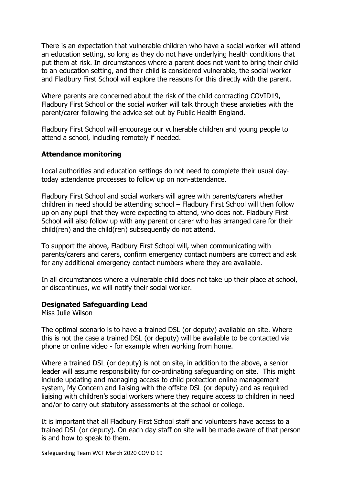There is an expectation that vulnerable children who have a social worker will attend an education setting, so long as they do not have underlying health conditions that put them at risk. In circumstances where a parent does not want to bring their child to an education setting, and their child is considered vulnerable, the social worker and Fladbury First School will explore the reasons for this directly with the parent.

Where parents are concerned about the risk of the child contracting COVID19, Fladbury First School or the social worker will talk through these anxieties with the parent/carer following the advice set out by Public Health England.

Fladbury First School will encourage our vulnerable children and young people to attend a school, including remotely if needed.

#### **Attendance monitoring**

Local authorities and education settings do not need to complete their usual daytoday attendance processes to follow up on non-attendance.

Fladbury First School and social workers will agree with parents/carers whether children in need should be attending school – Fladbury First School will then follow up on any pupil that they were expecting to attend, who does not. Fladbury First School will also follow up with any parent or carer who has arranged care for their child(ren) and the child(ren) subsequently do not attend.

To support the above, Fladbury First School will, when communicating with parents/carers and carers, confirm emergency contact numbers are correct and ask for any additional emergency contact numbers where they are available.

In all circumstances where a vulnerable child does not take up their place at school, or discontinues, we will notify their social worker.

#### **Designated Safeguarding Lead**

Miss Julie Wilson

The optimal scenario is to have a trained DSL (or deputy) available on site. Where this is not the case a trained DSL (or deputy) will be available to be contacted via phone or online video - for example when working from home.

Where a trained DSL (or deputy) is not on site, in addition to the above, a senior leader will assume responsibility for co-ordinating safeguarding on site. This might include updating and managing access to child protection online management system, My Concern and liaising with the offsite DSL (or deputy) and as required liaising with children's social workers where they require access to children in need and/or to carry out statutory assessments at the school or college.

It is important that all Fladbury First School staff and volunteers have access to a trained DSL (or deputy). On each day staff on site will be made aware of that person is and how to speak to them.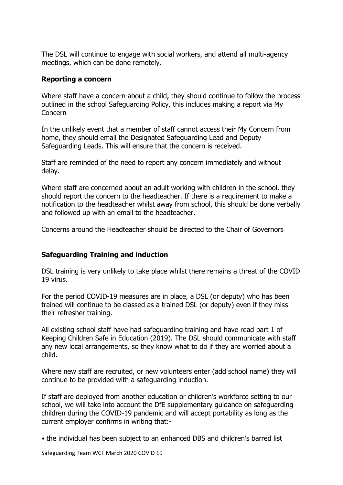The DSL will continue to engage with social workers, and attend all multi-agency meetings, which can be done remotely.

#### **Reporting a concern**

Where staff have a concern about a child, they should continue to follow the process outlined in the school Safeguarding Policy, this includes making a report via My Concern

In the unlikely event that a member of staff cannot access their My Concern from home, they should email the Designated Safeguarding Lead and Deputy Safeguarding Leads. This will ensure that the concern is received.

Staff are reminded of the need to report any concern immediately and without delay.

Where staff are concerned about an adult working with children in the school, they should report the concern to the headteacher. If there is a requirement to make a notification to the headteacher whilst away from school, this should be done verbally and followed up with an email to the headteacher.

Concerns around the Headteacher should be directed to the Chair of Governors

## **Safeguarding Training and induction**

DSL training is very unlikely to take place whilst there remains a threat of the COVID 19 virus.

For the period COVID-19 measures are in place, a DSL (or deputy) who has been trained will continue to be classed as a trained DSL (or deputy) even if they miss their refresher training.

All existing school staff have had safeguarding training and have read part 1 of Keeping Children Safe in Education (2019). The DSL should communicate with staff any new local arrangements, so they know what to do if they are worried about a child.

Where new staff are recruited, or new volunteers enter (add school name) they will continue to be provided with a safeguarding induction.

If staff are deployed from another education or children's workforce setting to our school, we will take into account the DfE supplementary guidance on safeguarding children during the COVID-19 pandemic and will accept portability as long as the current employer confirms in writing that:-

• the individual has been subject to an enhanced DBS and children's barred list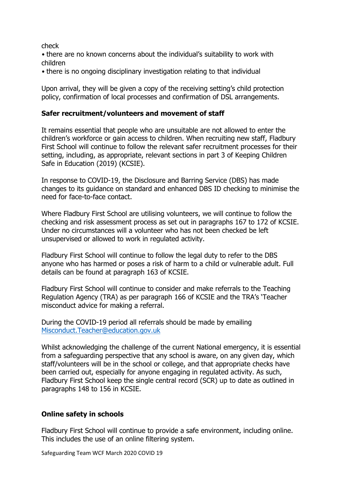check

• there are no known concerns about the individual's suitability to work with children

• there is no ongoing disciplinary investigation relating to that individual

Upon arrival, they will be given a copy of the receiving setting's child protection policy, confirmation of local processes and confirmation of DSL arrangements.

## **Safer recruitment/volunteers and movement of staff**

It remains essential that people who are unsuitable are not allowed to enter the children's workforce or gain access to children. When recruiting new staff, Fladbury First School will continue to follow the relevant safer recruitment processes for their setting, including, as appropriate, relevant sections in part 3 of Keeping Children Safe in Education (2019) (KCSIE).

In response to COVID-19, the Disclosure and Barring Service (DBS) has made changes to its guidance on standard and enhanced DBS ID checking to minimise the need for face-to-face contact.

Where Fladbury First School are utilising volunteers, we will continue to follow the checking and risk assessment process as set out in paragraphs 167 to 172 of KCSIE. Under no circumstances will a volunteer who has not been checked be left unsupervised or allowed to work in regulated activity.

Fladbury First School will continue to follow the legal duty to refer to the DBS anyone who has harmed or poses a risk of harm to a child or vulnerable adult. Full details can be found at paragraph 163 of KCSIE.

Fladbury First School will continue to consider and make referrals to the Teaching Regulation Agency (TRA) as per paragraph 166 of KCSIE and the TRA's 'Teacher misconduct advice for making a referral.

During the COVID-19 period all referrals should be made by emailing [Misconduct.Teacher@education.gov.uk](mailto:Misconduct.Teacher@education.gov.uk)

Whilst acknowledging the challenge of the current National emergency, it is essential from a safeguarding perspective that any school is aware, on any given day, which staff/volunteers will be in the school or college, and that appropriate checks have been carried out, especially for anyone engaging in regulated activity. As such, Fladbury First School keep the single central record (SCR) up to date as outlined in paragraphs 148 to 156 in KCSIE.

## **Online safety in schools**

Fladbury First School will continue to provide a safe environment, including online. This includes the use of an online filtering system.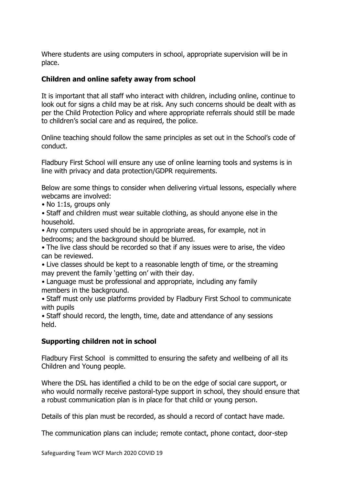Where students are using computers in school, appropriate supervision will be in place.

## **Children and online safety away from school**

It is important that all staff who interact with children, including online, continue to look out for signs a child may be at risk. Any such concerns should be dealt with as per the Child Protection Policy and where appropriate referrals should still be made to children's social care and as required, the police.

Online teaching should follow the same principles as set out in the School's code of conduct.

Fladbury First School will ensure any use of online learning tools and systems is in line with privacy and data protection/GDPR requirements.

Below are some things to consider when delivering virtual lessons, especially where webcams are involved:

• No 1:1s, groups only

• Staff and children must wear suitable clothing, as should anyone else in the household.

• Any computers used should be in appropriate areas, for example, not in bedrooms; and the background should be blurred.

• The live class should be recorded so that if any issues were to arise, the video can be reviewed.

• Live classes should be kept to a reasonable length of time, or the streaming may prevent the family 'getting on' with their day.

• Language must be professional and appropriate, including any family members in the background.

• Staff must only use platforms provided by Fladbury First School to communicate with pupils

• Staff should record, the length, time, date and attendance of any sessions held.

## **Supporting children not in school**

Fladbury First School is committed to ensuring the safety and wellbeing of all its Children and Young people.

Where the DSL has identified a child to be on the edge of social care support, or who would normally receive pastoral-type support in school, they should ensure that a robust communication plan is in place for that child or young person.

Details of this plan must be recorded, as should a record of contact have made.

The communication plans can include; remote contact, phone contact, door-step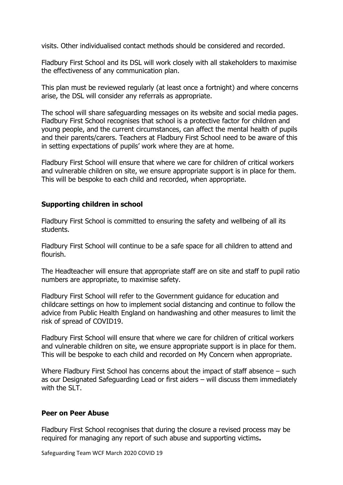visits. Other individualised contact methods should be considered and recorded.

Fladbury First School and its DSL will work closely with all stakeholders to maximise the effectiveness of any communication plan.

This plan must be reviewed regularly (at least once a fortnight) and where concerns arise, the DSL will consider any referrals as appropriate.

The school will share safeguarding messages on its website and social media pages. Fladbury First School recognises that school is a protective factor for children and young people, and the current circumstances, can affect the mental health of pupils and their parents/carers. Teachers at Fladbury First School need to be aware of this in setting expectations of pupils' work where they are at home.

Fladbury First School will ensure that where we care for children of critical workers and vulnerable children on site, we ensure appropriate support is in place for them. This will be bespoke to each child and recorded, when appropriate.

## **Supporting children in school**

Fladbury First School is committed to ensuring the safety and wellbeing of all its students.

Fladbury First School will continue to be a safe space for all children to attend and flourish.

The Headteacher will ensure that appropriate staff are on site and staff to pupil ratio numbers are appropriate, to maximise safety.

Fladbury First School will refer to the Government guidance for education and childcare settings on how to implement social distancing and continue to follow the advice from Public Health England on handwashing and other measures to limit the risk of spread of COVID19.

Fladbury First School will ensure that where we care for children of critical workers and vulnerable children on site, we ensure appropriate support is in place for them. This will be bespoke to each child and recorded on My Concern when appropriate.

Where Fladbury First School has concerns about the impact of staff absence – such as our Designated Safeguarding Lead or first aiders – will discuss them immediately with the SLT.

#### **Peer on Peer Abuse**

Fladbury First School recognises that during the closure a revised process may be required for managing any report of such abuse and supporting victims**.**